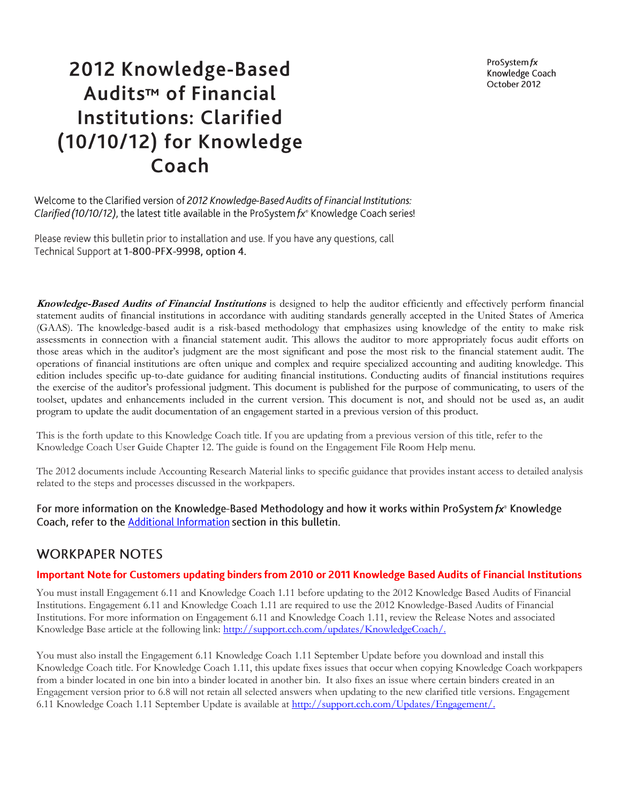ProSystem fx Knowledge Coach October 2012

# 2012 Knowledge-Based Audits<sup>™</sup> of Financial **Institutions: Clarified** (10/10/12) for Knowledge Coach

Welcome to the Clarified version of 2012 Knowledge-Based Audits of Financial Institutions: Clarified (10/10/12), the latest title available in the ProSystem fx® Knowledge Coach series!

Please review this bulletin prior to installation and use. If you have any questions, call Technical Support at 1-800-PFX-9998, option 4.

**Knowledge-Based Audits of Financial Institutions** is designed to help the auditor efficiently and effectively perform financial statement audits of financial institutions in accordance with auditing standards generally accepted in the United States of America (GAAS). The knowledge-based audit is a risk-based methodology that emphasizes using knowledge of the entity to make risk assessments in connection with a financial statement audit. This allows the auditor to more appropriately focus audit efforts on those areas which in the auditor's judgment are the most significant and pose the most risk to the financial statement audit. The operations of financial institutions are often unique and complex and require specialized accounting and auditing knowledge. This edition includes specific up-to-date guidance for auditing financial institutions. Conducting audits of financial institutions requires the exercise of the auditor's professional judgment. This document is published for the purpose of communicating, to users of the toolset, updates and enhancements included in the current version. This document is not, and should not be used as, an audit program to update the audit documentation of an engagement started in a previous version of this product.

This is the forth update to this Knowledge Coach title. If you are updating from a previous version of this title, refer to the Knowledge Coach User Guide Chapter 12. The guide is found on the Engagement File Room Help menu.

The 2012 documents include Accounting Research Material links to specific guidance that provides instant access to detailed analysis related to the steps and processes discussed in the workpapers.

For more information on the Knowledge-Based Methodology and how it works within ProSystem fx<sup>®</sup> Knowledge Coach, refer to the Additional Information section in this bulletin.

## **WORKPAPER NOTES**

## Important Note for Customers updating binders from 2010 or 2011 Knowledge Based Audits of Financial Institutions

You must install Engagement 6.11 and Knowledge Coach 1.11 before updating to the 2012 Knowledge Based Audits of Financial Institutions. Engagement 6.11 and Knowledge Coach 1.11 are required to use the 2012 Knowledge-Based Audits of Financial Institutions. For more information on Engagement 6.11 and Knowledge Coach 1.11, review the Release Notes and associated Knowledge Base article at the following link: http://support.cch.com/updates/KnowledgeCoach/.

You must also install the Engagement 6.11 Knowledge Coach 1.11 September Update before you download and install this Knowledge Coach title. For Knowledge Coach 1.11, this update fixes issues that occur when copying Knowledge Coach workpapers from a binder located in one bin into a binder located in another bin. It also fixes an issue where certain binders created in an Engagement version prior to 6.8 will not retain all selected answers when updating to the new clarified title versions. Engagement 6.11 Knowledge Coach 1.11 September Update is available at [http://support.cch.com/Updates/Engagement/.](http://support.cch.com/Updates/Engagement/)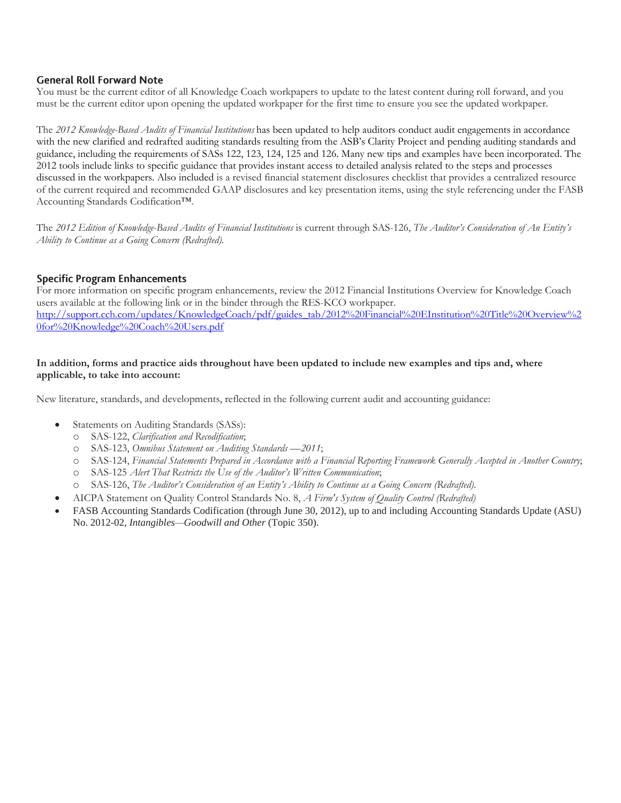#### **General Roll Forward Note**

You must be the current editor of all Knowledge Coach workpapers to update to the latest content during roll forward, and you must be the current editor upon opening the updated workpaper for the first time to ensure you see the updated workpaper.

The *2012 Knowledge-Based Audits of Financial Institutions* has been updated to help auditors conduct audit engagements in accordance with the new clarified and redrafted auditing standards resulting from the ASB's Clarity Project and pending auditing standards and guidance, including the requirements of SASs 122, 123, 124, 125 and 126. Many new tips and examples have been incorporated. The 2012 tools include links to specific guidance that provides instant access to detailed analysis related to the steps and processes discussed in the workpapers. Also included is a revised financial statement disclosures checklist that provides a centralized resource of the current required and recommended GAAP disclosures and key presentation items, using the style referencing under the FASB Accounting Standards Codification™.

The *2012 Edition of Knowledge-Based Audits of Financial Institutions* is current through SAS-126, *The Auditor's Consideration of An Entity's Ability to Continue as a Going Concern (Redrafted).*

#### **Specific Program Enhancements**

For more information on specific program enhancements, review the 2012 Financial Institutions Overview for Knowledge Coach users available at the following link or in the binder through the RES-KCO workpaper. [http://support.cch.com/updates/KnowledgeCoach/pdf/guides\\_tab/2012%20Financial%20EInstitution%20Title%20Overview%2](http://support.cch.com/updates/KnowledgeCoach/pdf/guides_tab/2012%20Financial%20EInstitution%20Title%20Overview%20for%20Knowledge%20Coach%20Users.pdf) [0for%20Knowledge%20Coach%20Users.pdf](http://support.cch.com/updates/KnowledgeCoach/pdf/guides_tab/2012%20Financial%20EInstitution%20Title%20Overview%20for%20Knowledge%20Coach%20Users.pdf)

#### **In addition, forms and practice aids throughout have been updated to include new examples and tips and, where applicable, to take into account:**

New literature, standards, and developments, reflected in the following current audit and accounting guidance:

- Statements on Auditing Standards (SASs):
	- o SAS-122, *Clarification and Recodification*;
	- o SAS-123, *Omnibus Statement on Auditing Standards —2011*;
	- o SAS-124, *Financial Statements Prepared in Accordance with a Financial Reporting Framework Generally Accepted in Another Country*;
	- o SAS-125 *Alert That Restricts the Use of the Auditor's Written Communication*;
	- o SAS-126, *The Auditor's Consideration of an Entity's Ability to Continue as a Going Concern (Redrafted)*.
- AICPA Statement on Quality Control Standards No. 8, *A Firm's System of Quality Control (Redrafted)*
- FASB Accounting Standards Codification (through June 30, 2012), up to and including Accounting Standards Update (ASU) No. 2012-02, *Intangibles—Goodwill and Other* (Topic 350).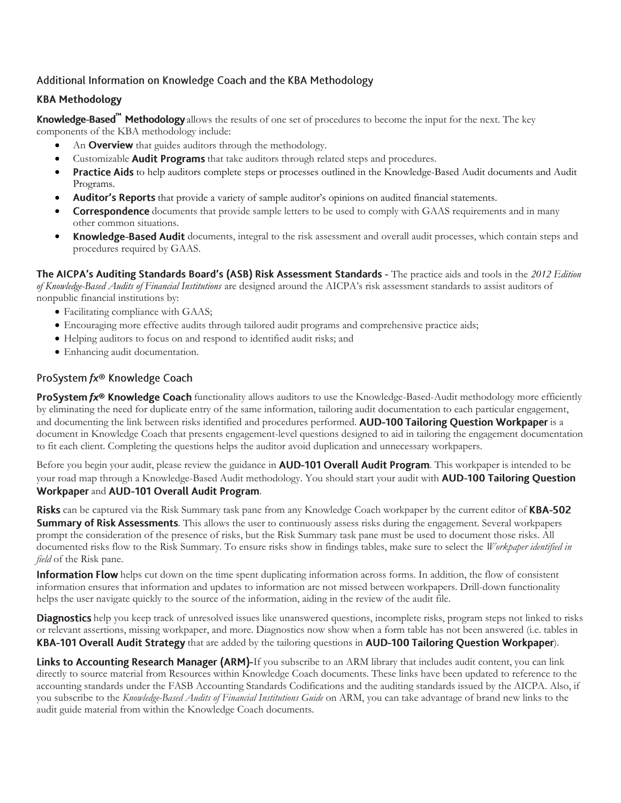## Additional Information on Knowledge Coach and the KBA Methodology

## **KBA Methodology**

Knowledge-Based<sup>"</sup> Methodology allows the results of one set of procedures to become the input for the next. The key components of the KBA methodology include:

- An Overview that guides auditors through the methodology.
- Customizable Audit Programs that take auditors through related steps and procedures.
- **Practice Aids** to help auditors complete steps or processes outlined in the Knowledge-Based Audit documents and Audit Programs.
- Auditor's Reports that provide a variety of sample auditor's opinions on audited financial statements.
- **Correspondence** documents that provide sample letters to be used to comply with GAAS requirements and in many other common situations.
- **Knowledge-Based Audit** documents, integral to the risk assessment and overall audit processes, which contain steps and procedures required by GAAS.

The AICPA's Auditing Standards Board's (ASB) Risk Assessment Standards - The practice aids and tools in the 2012 Edition *of Knowledge-Based Audits of Financial Institutions* are designed around the AICPA's risk assessment standards to assist auditors of nonpublic financial institutions by:

- Facilitating compliance with GAAS;
- Encouraging more effective audits through tailored audit programs and comprehensive practice aids;
- Helping auditors to focus on and respond to identified audit risks; and
- Enhancing audit documentation.

## ProSystem fx® Knowledge Coach

**ProSystem fx® Knowledge Coach** functionality allows auditors to use the Knowledge-Based-Audit methodology more efficiently by eliminating the need for duplicate entry of the same information, tailoring audit documentation to each particular engagement, and documenting the link between risks identified and procedures performed. AUD-100 Tailoring Question Workpaper is a document in Knowledge Coach that presents engagement-level questions designed to aid in tailoring the engagement documentation to fit each client. Completing the questions helps the auditor avoid duplication and unnecessary workpapers.

Before you begin your audit, please review the guidance in **AUD-101 Overall Audit Program**. This workpaper is intended to be your road map through a Knowledge-Based Audit methodology. You should start your audit with **AUD-100 Tailoring Question** Workpaper and AUD-101 Overall Audit Program.

Risks can be captured via the Risk Summary task pane from any Knowledge Coach workpaper by the current editor of KBA-502 **Summary of Risk Assessments**. This allows the user to continuously assess risks during the engagement. Several workpapers prompt the consideration of the presence of risks, but the Risk Summary task pane must be used to document those risks. All documented risks flow to the Risk Summary. To ensure risks show in findings tables, make sure to select the *Workpaper identified in field* of the Risk pane.

**Information Flow** helps cut down on the time spent duplicating information across forms. In addition, the flow of consistent information ensures that information and updates to information are not missed between workpapers. Drill-down functionality helps the user navigate quickly to the source of the information, aiding in the review of the audit file.

**Diagnostics** help you keep track of unresolved issues like unanswered questions, incomplete risks, program steps not linked to risks or relevant assertions, missing workpaper, and more. Diagnostics now show when a form table has not been answered (i.e. tables in **KBA-101 Overall Audit Strategy** that are added by the tailoring questions in AUD-100 Tailoring Question Workpaper).

Links to Accounting Research Manager (ARM)-If you subscribe to an ARM library that includes audit content, you can link directly to source material from Resources within Knowledge Coach documents. These links have been updated to reference to the accounting standards under the FASB Accounting Standards Codifications and the auditing standards issued by the AICPA. Also, if you subscribe to the *Knowledge-Based Audits of Financial Institutions Guide* on ARM, you can take advantage of brand new links to the audit guide material from within the Knowledge Coach documents.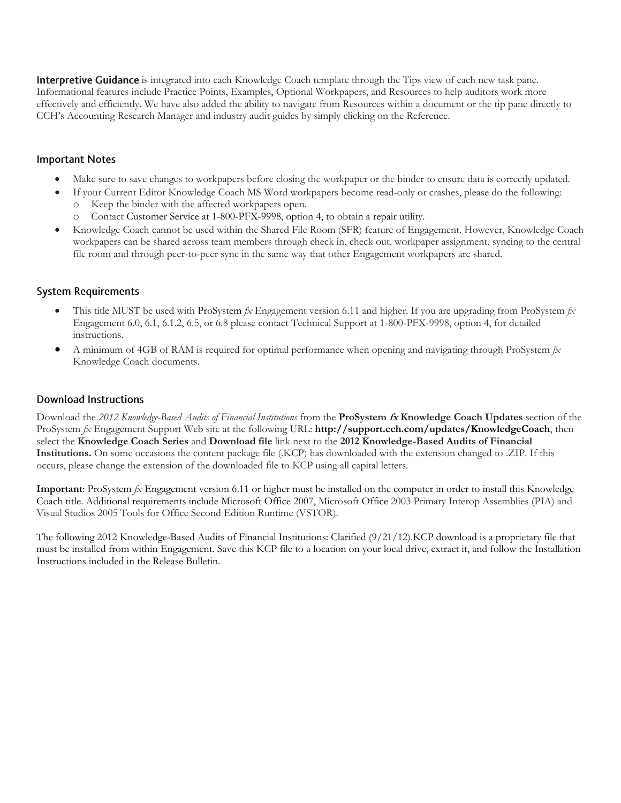**Interpretive Guidance** is integrated into each Knowledge Coach template through the Tips view of each new task pane. Informational features include Practice Points, Examples, Optional Workpapers, and Resources to help auditors work more effectively and efficiently. We have also added the ability to navigate from Resources within a document or the tip pane directly to CCH's Accounting Research Manager and industry audit guides by simply clicking on the Reference.

#### **Important Notes**

- Make sure to save changes to workpapers before closing the workpaper or the binder to ensure data is correctly updated.
	- If your Current Editor Knowledge Coach MS Word workpapers become read-only or crashes, please do the following:
		- o Keep the binder with the affected workpapers open.
		- Contact Customer Service at 1-800-PFX-9998, option 4, to obtain a repair utility.
- Knowledge Coach cannot be used within the Shared File Room (SFR) feature of Engagement. However, Knowledge Coach workpapers can be shared across team members through check in, check out, workpaper assignment, syncing to the central file room and through peer-to-peer sync in the same way that other Engagement workpapers are shared.

### **System Requirements**

- This title MUST be used with ProSystem *fx* Engagement version 6.11 and higher. If you are upgrading from ProSystem *fx*  Engagement 6.0, 6.1, 6.1.2, 6.5, or 6.8 please contact Technical Support at 1-800-PFX-9998, option 4, for detailed instructions.
- A minimum of 4GB of RAM is required for optimal performance when opening and navigating through ProSystem *fx*  Knowledge Coach documents.

### **Download Instructions**

Download the *2012 Knowledge-Based Audits of Financial Institutions* from the **ProSystem fx Knowledge Coach Updates** section of the ProSystem *fx* Engagement Support Web site at the following URL: **http://support.cch.com/updates/KnowledgeCoach**, then select the **Knowledge Coach Series** and **Download file** link next to the **2012 Knowledge-Based Audits of Financial Institutions.** On some occasions the content package file (.KCP) has downloaded with the extension changed to .ZIP. If this occurs, please change the extension of the downloaded file to KCP using all capital letters.

**Important**: ProSystem *fx* Engagement version 6.11 or higher must be installed on the computer in order to install this Knowledge Coach title. Additional requirements include Microsoft Office 2007, Microsoft Office 2003 Primary Interop Assemblies (PIA) and Visual Studios 2005 Tools for Office Second Edition Runtime (VSTOR).

The following 2012 Knowledge-Based Audits of Financial Institutions: Clarified (9/21/12).KCP download is a proprietary file that must be installed from within Engagement. Save this KCP file to a location on your local drive, extract it, and follow the Installation Instructions included in the Release Bulletin.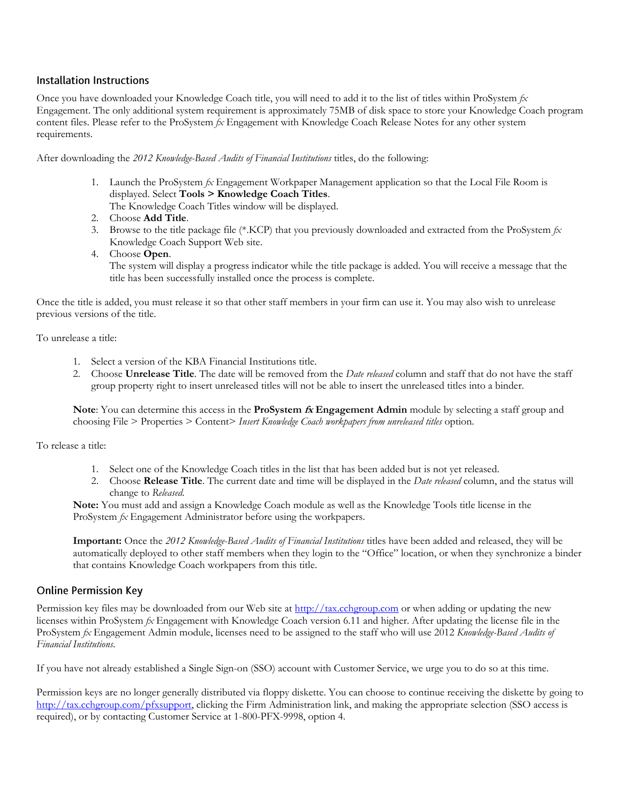#### **Installation Instructions**

Once you have downloaded your Knowledge Coach title, you will need to add it to the list of titles within ProSystem *fx*  Engagement. The only additional system requirement is approximately 75MB of disk space to store your Knowledge Coach program content files. Please refer to the ProSystem *fx* Engagement with Knowledge Coach Release Notes for any other system requirements.

After downloading the *2012 Knowledge-Based Audits of Financial Institutions* titles, do the following:

- 1. Launch the ProSystem *fx* Engagement Workpaper Management application so that the Local File Room is displayed. Select **Tools > Knowledge Coach Titles**. The Knowledge Coach Titles window will be displayed.
- 2. Choose **Add Title**.
- 3. Browse to the title package file (\*.KCP) that you previously downloaded and extracted from the ProSystem *fx*  Knowledge Coach Support Web site.
- 4. Choose **Open**.

The system will display a progress indicator while the title package is added. You will receive a message that the title has been successfully installed once the process is complete.

Once the title is added, you must release it so that other staff members in your firm can use it. You may also wish to unrelease previous versions of the title.

To unrelease a title:

- 1. Select a version of the KBA Financial Institutions title.
- 2. Choose **Unrelease Title**. The date will be removed from the *Date released* column and staff that do not have the staff group property right to insert unreleased titles will not be able to insert the unreleased titles into a binder.

**Note**: You can determine this access in the **ProSystem fx Engagement Admin** module by selecting a staff group and choosing File > Properties > Content> *Insert Knowledge Coach workpapers from unreleased titles* option.

To release a title:

- 1. Select one of the Knowledge Coach titles in the list that has been added but is not yet released.
- 2. Choose **Release Title**. The current date and time will be displayed in the *Date released* column, and the status will change to *Released*.

**Note:** You must add and assign a Knowledge Coach module as well as the Knowledge Tools title license in the ProSystem *fx* Engagement Administrator before using the workpapers.

**Important:** Once the *2012 Knowledge-Based Audits of Financial Institutions* titles have been added and released, they will be automatically deployed to other staff members when they login to the "Office" location, or when they synchronize a binder that contains Knowledge Coach workpapers from this title.

#### **Online Permission Key**

Permission key files may be downloaded from our Web site a[t http://tax.cchgroup.com](http://tax.cchgroup.com/) or when adding or updating the new licenses within ProSystem *fx* Engagement with Knowledge Coach version 6.11 and higher. After updating the license file in the ProSystem *fx* Engagement Admin module, licenses need to be assigned to the staff who will use 2012 *Knowledge-Based Audits of Financial Institutions*.

If you have not already established a Single Sign-on (SSO) account with Customer Service, we urge you to do so at this time.

Permission keys are no longer generally distributed via floppy diskette. You can choose to continue receiving the diskette by going to [http://tax.cchgroup.com/pfxsupport,](http://tax.cchgroup.com/pfxsupport) clicking the Firm Administration link, and making the appropriate selection (SSO access is required), or by contacting Customer Service at 1-800-PFX-9998, option 4.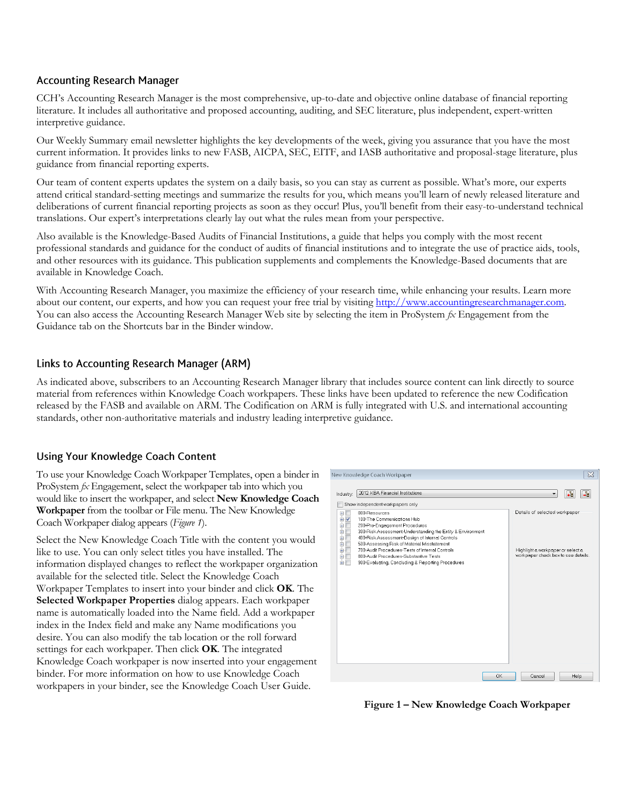### **Accounting Research Manager**

CCH's Accounting Research Manager is the most comprehensive, up-to-date and objective online database of financial reporting literature. It includes all authoritative and proposed accounting, auditing, and SEC literature, plus independent, expert-written interpretive guidance.

Our Weekly Summary email newsletter highlights the key developments of the week, giving you assurance that you have the most current information. It provides links to new FASB, AICPA, SEC, EITF, and IASB authoritative and proposal-stage literature, plus guidance from financial reporting experts.

Our team of content experts updates the system on a daily basis, so you can stay as current as possible. What's more, our experts attend critical standard-setting meetings and summarize the results for you, which means you'll learn of newly released literature and deliberations of current financial reporting projects as soon as they occur! Plus, you'll benefit from their easy-to-understand technical translations. Our expert's interpretations clearly lay out what the rules mean from your perspective.

Also available is the Knowledge-Based Audits of Financial Institutions, a guide that helps you comply with the most recent professional standards and guidance for the conduct of audits of financial institutions and to integrate the use of practice aids, tools, and other resources with its guidance. This publication supplements and complements the Knowledge-Based documents that are available in Knowledge Coach.

With Accounting Research Manager, you maximize the efficiency of your research time, while enhancing your results. Learn more about our content, our experts, and how you can request your free trial by visitin[g http://www.accountingresearchmanager.com.](http://www.accountingresearchmanager.com/)  You can also access the Accounting Research Manager Web site by selecting the item in ProSystem *fx* Engagement from the Guidance tab on the Shortcuts bar in the Binder window.

## Links to Accounting Research Manager (ARM)

As indicated above, subscribers to an Accounting Research Manager library that includes source content can link directly to source material from references within Knowledge Coach workpapers. These links have been updated to reference the new Codification released by the FASB and available on ARM. The Codification on ARM is fully integrated with U.S. and international accounting standards, other non-authoritative materials and industry leading interpretive guidance.

## **Using Your Knowledge Coach Content**

To use your Knowledge Coach Workpaper Templates, open a binder in ProSystem *fx* Engagement, select the workpaper tab into which you would like to insert the workpaper, and select **New Knowledge Coach Workpaper** from the toolbar or File menu. The New Knowledge Coach Workpaper dialog appears (*Figure 1*).

Select the New Knowledge Coach Title with the content you would like to use. You can only select titles you have installed. The information displayed changes to reflect the workpaper organization available for the selected title. Select the Knowledge Coach Workpaper Templates to insert into your binder and click **OK**. The **Selected Workpaper Properties** dialog appears. Each workpaper name is automatically loaded into the Name field. Add a workpaper index in the Index field and make any Name modifications you desire. You can also modify the tab location or the roll forward settings for each workpaper. Then click **OK**. The integrated Knowledge Coach workpaper is now inserted into your engagement binder. For more information on how to use Knowledge Coach workpapers in your binder, see the Knowledge Coach User Guide.



**Figure 1 – New Knowledge Coach Workpaper**